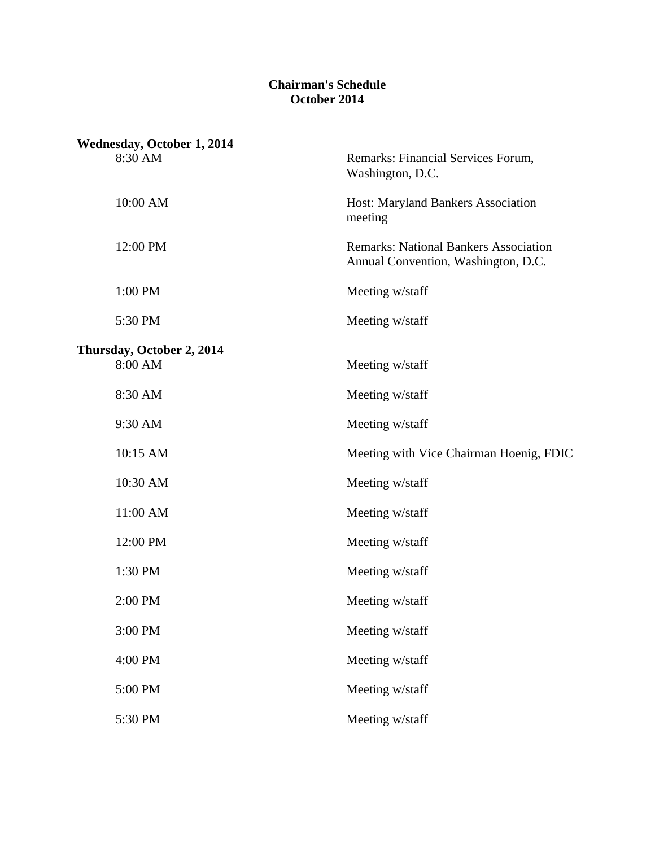#### **Chairman's Schedule October 2014**

| <b>Wednesday, October 1, 2014</b>    |                                                                                     |
|--------------------------------------|-------------------------------------------------------------------------------------|
| 8:30 AM                              | Remarks: Financial Services Forum,<br>Washington, D.C.                              |
| 10:00 AM                             | Host: Maryland Bankers Association<br>meeting                                       |
| 12:00 PM                             | <b>Remarks: National Bankers Association</b><br>Annual Convention, Washington, D.C. |
| 1:00 PM                              | Meeting w/staff                                                                     |
| 5:30 PM                              | Meeting w/staff                                                                     |
| Thursday, October 2, 2014<br>8:00 AM | Meeting w/staff                                                                     |
| 8:30 AM                              | Meeting w/staff                                                                     |
| 9:30 AM                              | Meeting w/staff                                                                     |
| 10:15 AM                             | Meeting with Vice Chairman Hoenig, FDIC                                             |
| 10:30 AM                             | Meeting w/staff                                                                     |
| 11:00 AM                             | Meeting w/staff                                                                     |
| 12:00 PM                             | Meeting w/staff                                                                     |
| 1:30 PM                              | Meeting w/staff                                                                     |
| 2:00 PM                              | Meeting w/staff                                                                     |
| 3:00 PM                              | Meeting w/staff                                                                     |
| 4:00 PM                              | Meeting w/staff                                                                     |
| 5:00 PM                              | Meeting w/staff                                                                     |
| 5:30 PM                              | Meeting w/staff                                                                     |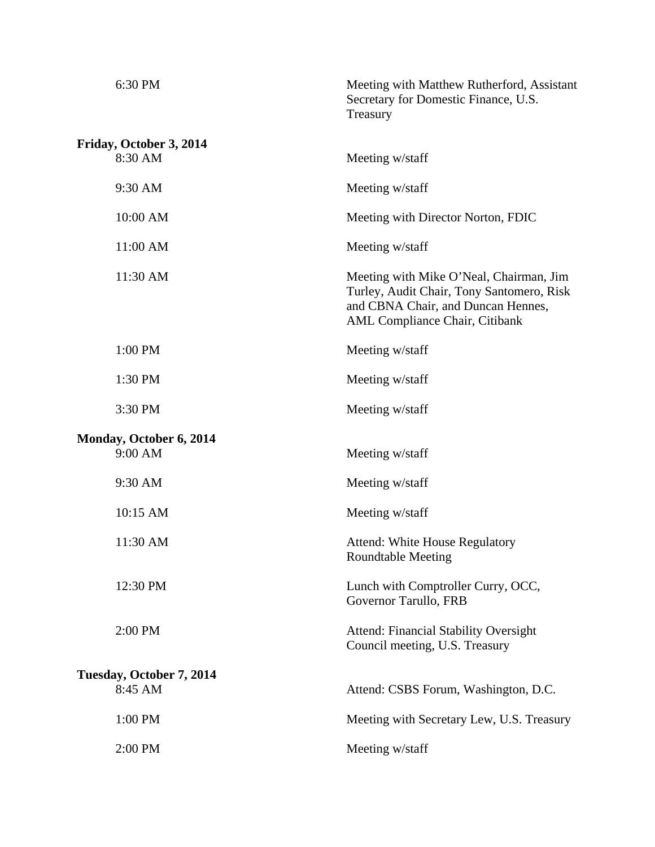| 6:30 PM                            | Meeting with Matthew Rutherford, Assistant<br>Secretary for Domestic Finance, U.S.<br>Treasury                                                               |
|------------------------------------|--------------------------------------------------------------------------------------------------------------------------------------------------------------|
| Friday, October 3, 2014<br>8:30 AM | Meeting w/staff                                                                                                                                              |
| 9:30 AM                            | Meeting w/staff                                                                                                                                              |
| 10:00 AM                           | Meeting with Director Norton, FDIC                                                                                                                           |
| 11:00 AM                           | Meeting w/staff                                                                                                                                              |
| 11:30 AM                           | Meeting with Mike O'Neal, Chairman, Jim<br>Turley, Audit Chair, Tony Santomero, Risk<br>and CBNA Chair, and Duncan Hennes,<br>AML Compliance Chair, Citibank |
| 1:00 PM                            | Meeting w/staff                                                                                                                                              |
| 1:30 PM                            | Meeting w/staff                                                                                                                                              |
| 3:30 PM                            | Meeting w/staff                                                                                                                                              |
| Monday, October 6, 2014<br>9:00 AM | Meeting w/staff                                                                                                                                              |
| 9:30 AM                            | Meeting w/staff                                                                                                                                              |
| 10:15 AM                           | Meeting w/staff                                                                                                                                              |
| 11:30 AM                           | <b>Attend: White House Regulatory</b><br><b>Roundtable Meeting</b>                                                                                           |
| 12:30 PM                           | Lunch with Comptroller Curry, OCC,<br>Governor Tarullo, FRB                                                                                                  |
| 2:00 PM                            | <b>Attend: Financial Stability Oversight</b><br>Council meeting, U.S. Treasury                                                                               |
| Tuesday, October 7, 2014           |                                                                                                                                                              |
| 8:45 AM                            | Attend: CSBS Forum, Washington, D.C.                                                                                                                         |
| 1:00 PM                            | Meeting with Secretary Lew, U.S. Treasury                                                                                                                    |
| 2:00 PM                            | Meeting w/staff                                                                                                                                              |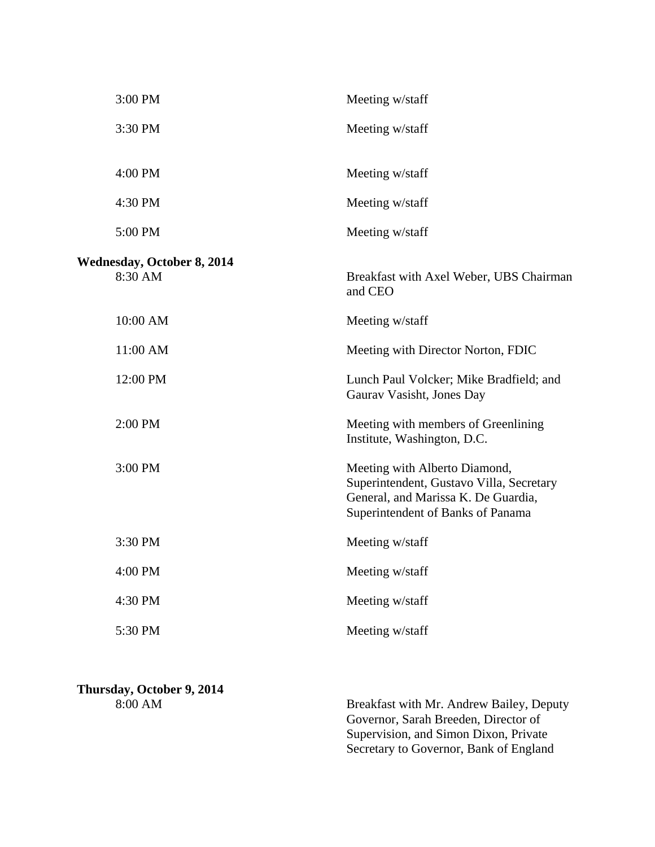| 3:00 PM                                      | Meeting w/staff                                                                                                                                       |
|----------------------------------------------|-------------------------------------------------------------------------------------------------------------------------------------------------------|
| 3:30 PM                                      | Meeting w/staff                                                                                                                                       |
| 4:00 PM                                      | Meeting w/staff                                                                                                                                       |
| 4:30 PM                                      | Meeting w/staff                                                                                                                                       |
| 5:00 PM                                      | Meeting w/staff                                                                                                                                       |
| <b>Wednesday, October 8, 2014</b><br>8:30 AM | Breakfast with Axel Weber, UBS Chairman<br>and CEO                                                                                                    |
| 10:00 AM                                     | Meeting w/staff                                                                                                                                       |
| 11:00 AM                                     | Meeting with Director Norton, FDIC                                                                                                                    |
| 12:00 PM                                     | Lunch Paul Volcker; Mike Bradfield; and<br>Gaurav Vasisht, Jones Day                                                                                  |
| 2:00 PM                                      | Meeting with members of Greenlining<br>Institute, Washington, D.C.                                                                                    |
| 3:00 PM                                      | Meeting with Alberto Diamond,<br>Superintendent, Gustavo Villa, Secretary<br>General, and Marissa K. De Guardia,<br>Superintendent of Banks of Panama |
| 3:30 PM                                      | Meeting w/staff                                                                                                                                       |
| 4:00 PM                                      | Meeting w/staff                                                                                                                                       |
| 4:30 PM                                      | Meeting w/staff                                                                                                                                       |
| 5:30 PM                                      | Meeting w/staff                                                                                                                                       |

# **Thursday, October 9, 2014**

8:00 AM Breakfast with Mr. Andrew Bailey, Deputy Governor, Sarah Breeden, Director of Supervision, and Simon Dixon, Private Secretary to Governor, Bank of England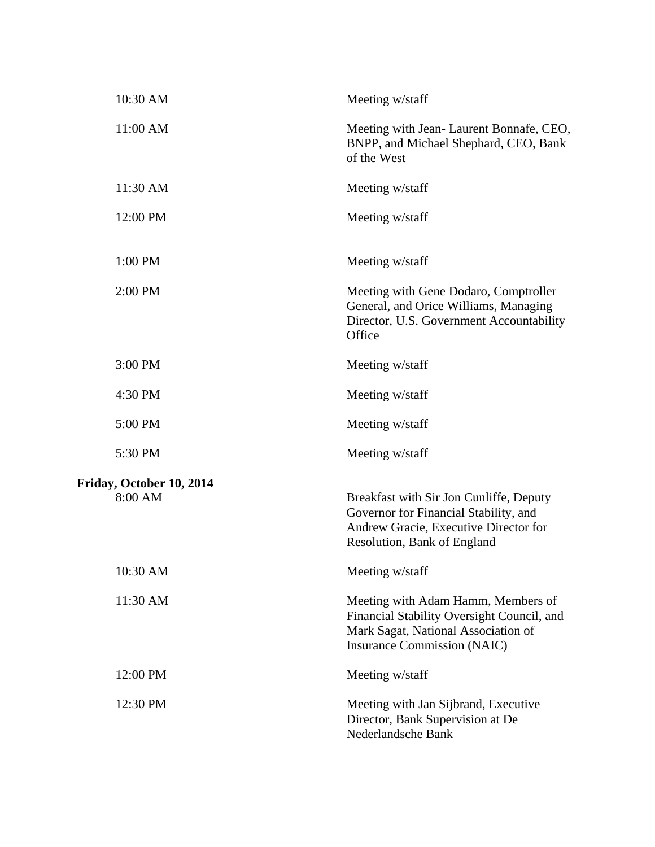| 10:30 AM                            | Meeting w/staff                                                                                                                                               |
|-------------------------------------|---------------------------------------------------------------------------------------------------------------------------------------------------------------|
| 11:00 AM                            | Meeting with Jean-Laurent Bonnafe, CEO,<br>BNPP, and Michael Shephard, CEO, Bank<br>of the West                                                               |
| 11:30 AM                            | Meeting w/staff                                                                                                                                               |
| 12:00 PM                            | Meeting w/staff                                                                                                                                               |
| 1:00 PM                             | Meeting w/staff                                                                                                                                               |
| 2:00 PM                             | Meeting with Gene Dodaro, Comptroller<br>General, and Orice Williams, Managing<br>Director, U.S. Government Accountability<br>Office                          |
| 3:00 PM                             | Meeting w/staff                                                                                                                                               |
| 4:30 PM                             | Meeting w/staff                                                                                                                                               |
| 5:00 PM                             | Meeting w/staff                                                                                                                                               |
| 5:30 PM                             | Meeting w/staff                                                                                                                                               |
| Friday, October 10, 2014<br>8:00 AM | Breakfast with Sir Jon Cunliffe, Deputy<br>Governor for Financial Stability, and<br>Andrew Gracie, Executive Director for<br>Resolution, Bank of England      |
| 10:30 AM                            | Meeting w/staff                                                                                                                                               |
| 11:30 AM                            | Meeting with Adam Hamm, Members of<br>Financial Stability Oversight Council, and<br>Mark Sagat, National Association of<br><b>Insurance Commission (NAIC)</b> |
| 12:00 PM                            | Meeting w/staff                                                                                                                                               |
| 12:30 PM                            | Meeting with Jan Sijbrand, Executive<br>Director, Bank Supervision at De<br>Nederlandsche Bank                                                                |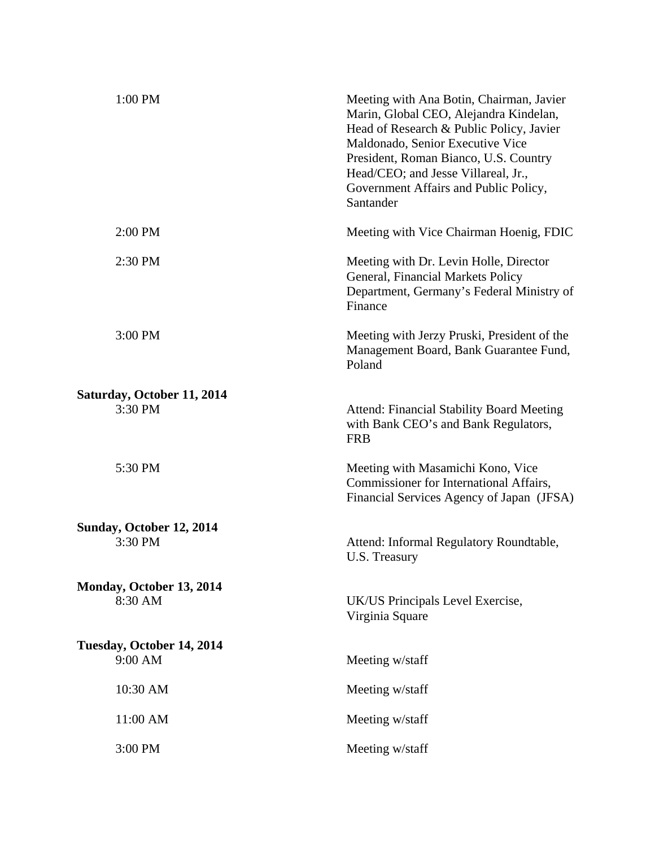| 1:00 PM                               | Meeting with Ana Botin, Chairman, Javier<br>Marin, Global CEO, Alejandra Kindelan,<br>Head of Research & Public Policy, Javier<br>Maldonado, Senior Executive Vice<br>President, Roman Bianco, U.S. Country<br>Head/CEO; and Jesse Villareal, Jr.,<br>Government Affairs and Public Policy,<br>Santander |
|---------------------------------------|----------------------------------------------------------------------------------------------------------------------------------------------------------------------------------------------------------------------------------------------------------------------------------------------------------|
| 2:00 PM                               | Meeting with Vice Chairman Hoenig, FDIC                                                                                                                                                                                                                                                                  |
| 2:30 PM                               | Meeting with Dr. Levin Holle, Director<br>General, Financial Markets Policy<br>Department, Germany's Federal Ministry of<br>Finance                                                                                                                                                                      |
| 3:00 PM                               | Meeting with Jerzy Pruski, President of the<br>Management Board, Bank Guarantee Fund,<br>Poland                                                                                                                                                                                                          |
| Saturday, October 11, 2014<br>3:30 PM | <b>Attend: Financial Stability Board Meeting</b>                                                                                                                                                                                                                                                         |
|                                       | with Bank CEO's and Bank Regulators,<br><b>FRB</b>                                                                                                                                                                                                                                                       |
| 5:30 PM                               | Meeting with Masamichi Kono, Vice<br>Commissioner for International Affairs,<br>Financial Services Agency of Japan (JFSA)                                                                                                                                                                                |
| Sunday, October 12, 2014              |                                                                                                                                                                                                                                                                                                          |
| 3:30 PM                               | Attend: Informal Regulatory Roundtable,<br>U.S. Treasury                                                                                                                                                                                                                                                 |
| Monday, October 13, 2014              |                                                                                                                                                                                                                                                                                                          |
| 8:30 AM                               | UK/US Principals Level Exercise,<br>Virginia Square                                                                                                                                                                                                                                                      |
| Tuesday, October 14, 2014             |                                                                                                                                                                                                                                                                                                          |
| 9:00 AM                               | Meeting w/staff                                                                                                                                                                                                                                                                                          |
| 10:30 AM                              | Meeting w/staff                                                                                                                                                                                                                                                                                          |
| 11:00 AM                              | Meeting w/staff                                                                                                                                                                                                                                                                                          |
| 3:00 PM                               | Meeting w/staff                                                                                                                                                                                                                                                                                          |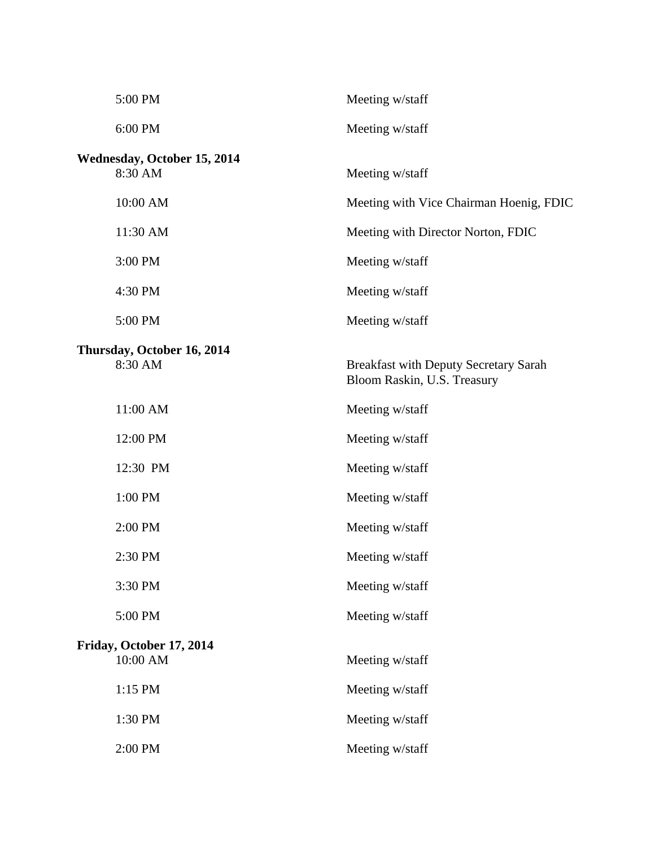| 5:00 PM                                       | Meeting w/staff                                                             |
|-----------------------------------------------|-----------------------------------------------------------------------------|
| 6:00 PM                                       | Meeting w/staff                                                             |
| <b>Wednesday, October 15, 2014</b><br>8:30 AM | Meeting w/staff                                                             |
| 10:00 AM                                      | Meeting with Vice Chairman Hoenig, FDIC                                     |
| 11:30 AM                                      | Meeting with Director Norton, FDIC                                          |
| 3:00 PM                                       | Meeting w/staff                                                             |
| 4:30 PM                                       | Meeting w/staff                                                             |
| 5:00 PM                                       | Meeting w/staff                                                             |
| Thursday, October 16, 2014<br>8:30 AM         | <b>Breakfast with Deputy Secretary Sarah</b><br>Bloom Raskin, U.S. Treasury |
| 11:00 AM                                      | Meeting w/staff                                                             |
| 12:00 PM                                      | Meeting w/staff                                                             |
| 12:30 PM                                      | Meeting w/staff                                                             |
| 1:00 PM                                       | Meeting w/staff                                                             |
| 2:00 PM                                       | Meeting w/staff                                                             |
| 2:30 PM                                       | Meeting w/staff                                                             |
| 3:30 PM                                       | Meeting w/staff                                                             |
| 5:00 PM                                       | Meeting w/staff                                                             |
| Friday, October 17, 2014<br>10:00 AM          | Meeting w/staff                                                             |
| $1:15$ PM                                     | Meeting w/staff                                                             |
| 1:30 PM                                       | Meeting w/staff                                                             |
| 2:00 PM                                       | Meeting w/staff                                                             |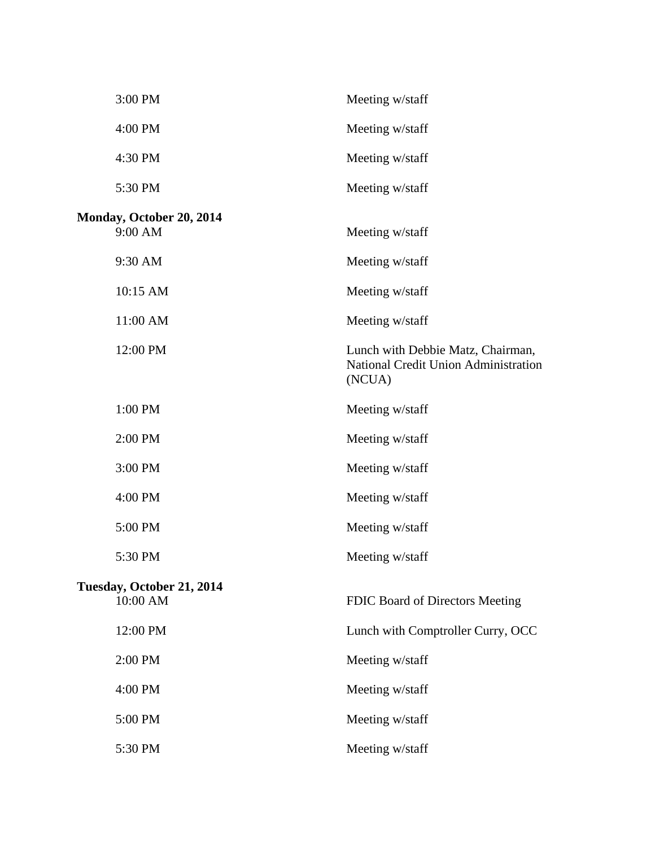| 3:00 PM                               | Meeting w/staff                                                                     |
|---------------------------------------|-------------------------------------------------------------------------------------|
| 4:00 PM                               | Meeting w/staff                                                                     |
| 4:30 PM                               | Meeting w/staff                                                                     |
| 5:30 PM                               | Meeting w/staff                                                                     |
| Monday, October 20, 2014<br>9:00 AM   | Meeting w/staff                                                                     |
| 9:30 AM                               | Meeting w/staff                                                                     |
| 10:15 AM                              | Meeting w/staff                                                                     |
| 11:00 AM                              | Meeting w/staff                                                                     |
| 12:00 PM                              | Lunch with Debbie Matz, Chairman,<br>National Credit Union Administration<br>(NCUA) |
| 1:00 PM                               | Meeting w/staff                                                                     |
| 2:00 PM                               | Meeting w/staff                                                                     |
| 3:00 PM                               | Meeting w/staff                                                                     |
| 4:00 PM                               | Meeting w/staff                                                                     |
| 5:00 PM                               | Meeting w/staff                                                                     |
| 5:30 PM                               | Meeting w/staff                                                                     |
| Tuesday, October 21, 2014<br>10:00 AM | FDIC Board of Directors Meeting                                                     |
| 12:00 PM                              | Lunch with Comptroller Curry, OCC                                                   |
| 2:00 PM                               | Meeting w/staff                                                                     |
| 4:00 PM                               | Meeting w/staff                                                                     |
| 5:00 PM                               | Meeting w/staff                                                                     |
| 5:30 PM                               | Meeting w/staff                                                                     |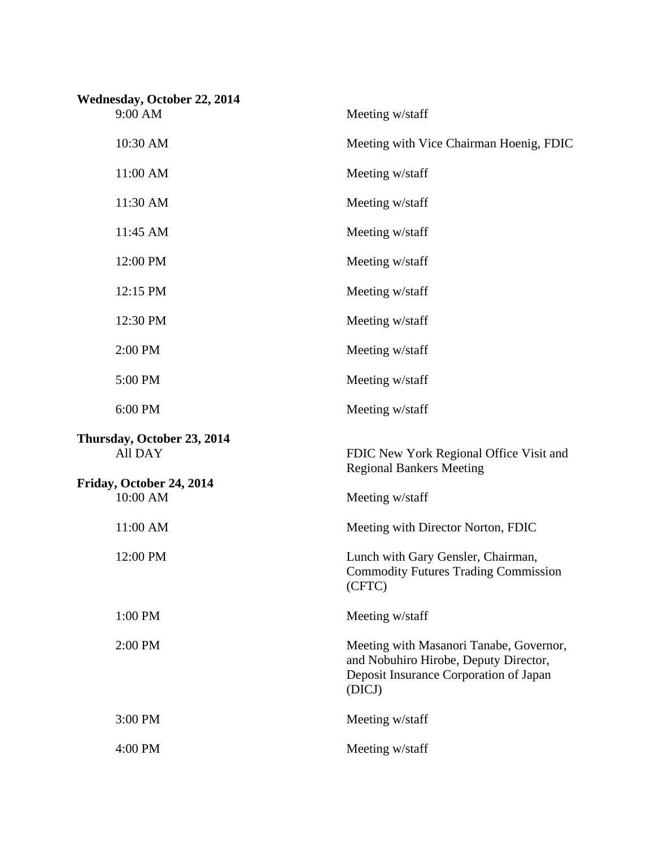| Wednesday, October 22, 2014<br>9:00 AM | Meeting w/staff                                                                                                                      |
|----------------------------------------|--------------------------------------------------------------------------------------------------------------------------------------|
| 10:30 AM                               | Meeting with Vice Chairman Hoenig, FDIC                                                                                              |
| 11:00 AM                               | Meeting w/staff                                                                                                                      |
| 11:30 AM                               | Meeting w/staff                                                                                                                      |
| 11:45 AM                               | Meeting w/staff                                                                                                                      |
| 12:00 PM                               | Meeting w/staff                                                                                                                      |
| 12:15 PM                               | Meeting w/staff                                                                                                                      |
| 12:30 PM                               | Meeting w/staff                                                                                                                      |
| 2:00 PM                                | Meeting w/staff                                                                                                                      |
| 5:00 PM                                | Meeting w/staff                                                                                                                      |
| 6:00 PM                                | Meeting w/staff                                                                                                                      |
| Thursday, October 23, 2014<br>All DAY  | FDIC New York Regional Office Visit and<br><b>Regional Bankers Meeting</b>                                                           |
| Friday, October 24, 2014<br>10:00 AM   |                                                                                                                                      |
|                                        | Meeting w/staff                                                                                                                      |
| 11:00 AM                               | Meeting with Director Norton, FDIC                                                                                                   |
| 12:00 PM                               | Lunch with Gary Gensler, Chairman,<br><b>Commodity Futures Trading Commission</b><br>(CFTC)                                          |
| 1:00 PM                                | Meeting w/staff                                                                                                                      |
| 2:00 PM                                | Meeting with Masanori Tanabe, Governor,<br>and Nobuhiro Hirobe, Deputy Director,<br>Deposit Insurance Corporation of Japan<br>(DICJ) |
| 3:00 PM                                | Meeting w/staff                                                                                                                      |
| 4:00 PM                                | Meeting w/staff                                                                                                                      |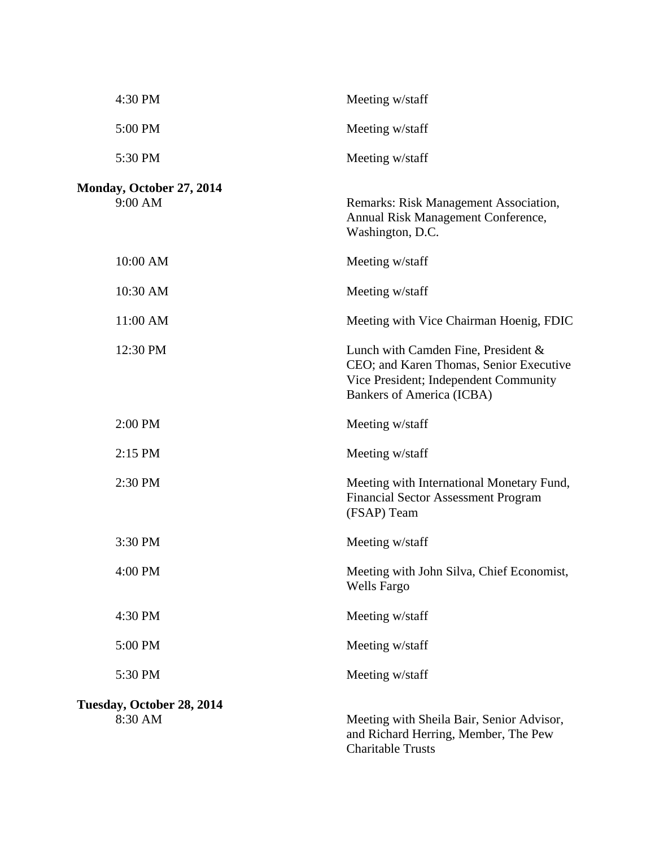| 4:30 PM                             | Meeting w/staff                                                                                                                                      |
|-------------------------------------|------------------------------------------------------------------------------------------------------------------------------------------------------|
| 5:00 PM                             | Meeting w/staff                                                                                                                                      |
| 5:30 PM                             | Meeting w/staff                                                                                                                                      |
| Monday, October 27, 2014<br>9:00 AM | Remarks: Risk Management Association,<br>Annual Risk Management Conference,<br>Washington, D.C.                                                      |
| 10:00 AM                            | Meeting w/staff                                                                                                                                      |
| 10:30 AM                            | Meeting w/staff                                                                                                                                      |
| 11:00 AM                            | Meeting with Vice Chairman Hoenig, FDIC                                                                                                              |
| 12:30 PM                            | Lunch with Camden Fine, President &<br>CEO; and Karen Thomas, Senior Executive<br>Vice President; Independent Community<br>Bankers of America (ICBA) |
| 2:00 PM                             | Meeting w/staff                                                                                                                                      |
| 2:15 PM                             | Meeting w/staff                                                                                                                                      |
| 2:30 PM                             | Meeting with International Monetary Fund,<br><b>Financial Sector Assessment Program</b><br>(FSAP) Team                                               |
| 3:30 PM                             | Meeting w/staff                                                                                                                                      |
| 4:00 PM                             | Meeting with John Silva, Chief Economist,<br>Wells Fargo                                                                                             |
| 4:30 PM                             | Meeting w/staff                                                                                                                                      |
| 5:00 PM                             | Meeting w/staff                                                                                                                                      |
| 5:30 PM                             | Meeting w/staff                                                                                                                                      |
| Tuesday, October 28, 2014           |                                                                                                                                                      |
| 8:30 AM                             | Meeting with Sheila Bair, Senior Advisor,<br>and Richard Herring, Member, The Pew<br><b>Charitable Trusts</b>                                        |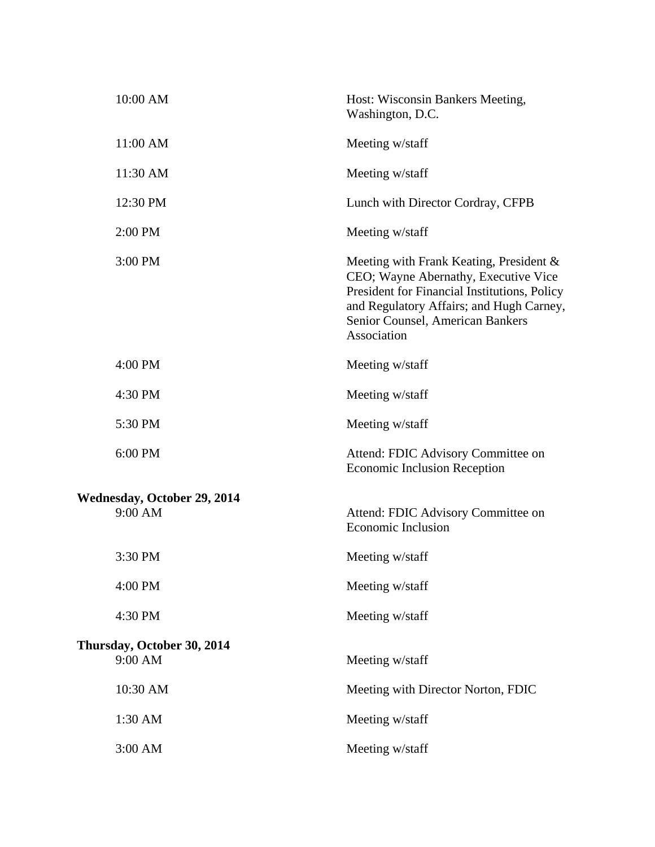| 10:00 AM                                      | Host: Wisconsin Bankers Meeting,<br>Washington, D.C.                                                                                                                                                                           |
|-----------------------------------------------|--------------------------------------------------------------------------------------------------------------------------------------------------------------------------------------------------------------------------------|
| 11:00 AM                                      | Meeting w/staff                                                                                                                                                                                                                |
| 11:30 AM                                      | Meeting w/staff                                                                                                                                                                                                                |
| 12:30 PM                                      | Lunch with Director Cordray, CFPB                                                                                                                                                                                              |
| 2:00 PM                                       | Meeting w/staff                                                                                                                                                                                                                |
| 3:00 PM                                       | Meeting with Frank Keating, President &<br>CEO; Wayne Abernathy, Executive Vice<br>President for Financial Institutions, Policy<br>and Regulatory Affairs; and Hugh Carney,<br>Senior Counsel, American Bankers<br>Association |
| 4:00 PM                                       | Meeting w/staff                                                                                                                                                                                                                |
| 4:30 PM                                       | Meeting w/staff                                                                                                                                                                                                                |
| 5:30 PM                                       | Meeting w/staff                                                                                                                                                                                                                |
| 6:00 PM                                       | Attend: FDIC Advisory Committee on<br><b>Economic Inclusion Reception</b>                                                                                                                                                      |
| <b>Wednesday, October 29, 2014</b><br>9:00 AM | Attend: FDIC Advisory Committee on<br><b>Economic Inclusion</b>                                                                                                                                                                |
| 3:30 PM                                       | Meeting w/staff                                                                                                                                                                                                                |
| 4:00 PM                                       | Meeting w/staff                                                                                                                                                                                                                |
| 4:30 PM                                       | Meeting w/staff                                                                                                                                                                                                                |
| Thursday, October 30, 2014<br>9:00 AM         | Meeting w/staff                                                                                                                                                                                                                |
| 10:30 AM                                      | Meeting with Director Norton, FDIC                                                                                                                                                                                             |
| 1:30 AM                                       | Meeting w/staff                                                                                                                                                                                                                |
| 3:00 AM                                       | Meeting w/staff                                                                                                                                                                                                                |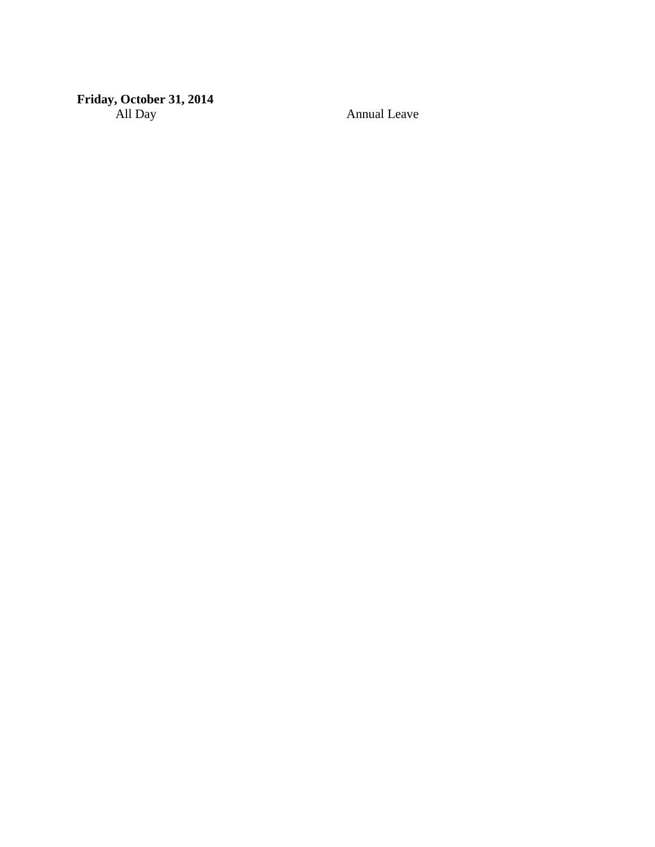#### **Friday, October 31, 2014** All Day Annual Leave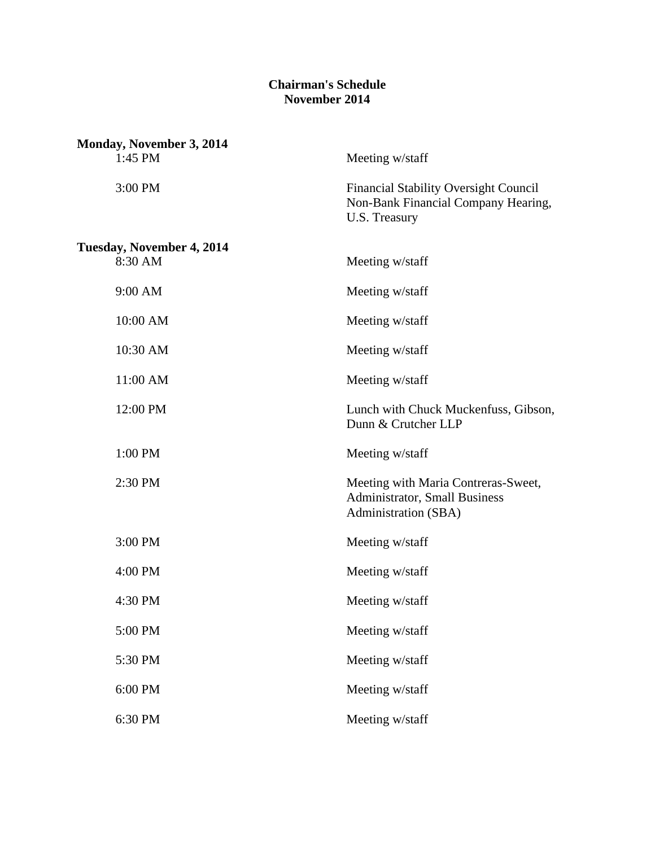### **Chairman's Schedule November 2014**

| Monday, November 3, 2014             |                                                                                                             |
|--------------------------------------|-------------------------------------------------------------------------------------------------------------|
| 1:45 PM                              | Meeting w/staff                                                                                             |
| 3:00 PM                              | <b>Financial Stability Oversight Council</b><br>Non-Bank Financial Company Hearing,<br><b>U.S. Treasury</b> |
| Tuesday, November 4, 2014<br>8:30 AM | Meeting w/staff                                                                                             |
| 9:00 AM                              | Meeting w/staff                                                                                             |
| 10:00 AM                             | Meeting w/staff                                                                                             |
| 10:30 AM                             | Meeting w/staff                                                                                             |
| 11:00 AM                             | Meeting w/staff                                                                                             |
| 12:00 PM                             | Lunch with Chuck Muckenfuss, Gibson,<br>Dunn & Crutcher LLP                                                 |
| 1:00 PM                              | Meeting w/staff                                                                                             |
| 2:30 PM                              | Meeting with Maria Contreras-Sweet,<br><b>Administrator, Small Business</b><br>Administration (SBA)         |
| 3:00 PM                              | Meeting w/staff                                                                                             |
| 4:00 PM                              | Meeting w/staff                                                                                             |
| 4:30 PM                              | Meeting w/staff                                                                                             |
| 5:00 PM                              | Meeting w/staff                                                                                             |
| 5:30 PM                              | Meeting w/staff                                                                                             |
| 6:00 PM                              | Meeting w/staff                                                                                             |
| 6:30 PM                              | Meeting w/staff                                                                                             |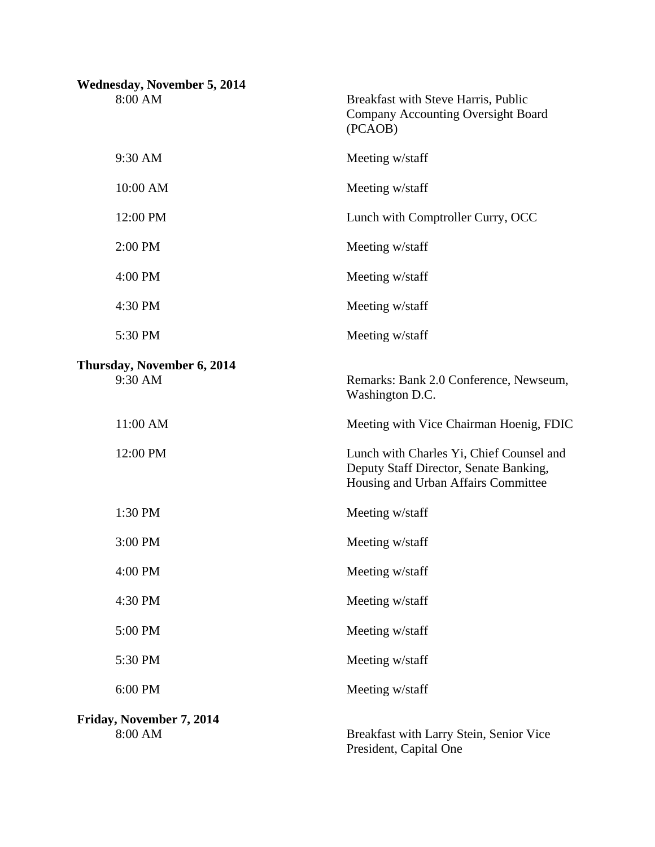| <b>Wednesday, November 5, 2014</b>  |                                                                                                                           |
|-------------------------------------|---------------------------------------------------------------------------------------------------------------------------|
| 8:00 AM                             | Breakfast with Steve Harris, Public<br><b>Company Accounting Oversight Board</b><br>(PCAOB)                               |
| 9:30 AM                             | Meeting w/staff                                                                                                           |
| 10:00 AM                            | Meeting w/staff                                                                                                           |
| 12:00 PM                            | Lunch with Comptroller Curry, OCC                                                                                         |
| 2:00 PM                             | Meeting w/staff                                                                                                           |
| 4:00 PM                             | Meeting w/staff                                                                                                           |
| 4:30 PM                             | Meeting w/staff                                                                                                           |
| 5:30 PM                             | Meeting w/staff                                                                                                           |
| Thursday, November 6, 2014          |                                                                                                                           |
| 9:30 AM                             | Remarks: Bank 2.0 Conference, Newseum,<br>Washington D.C.                                                                 |
| 11:00 AM                            | Meeting with Vice Chairman Hoenig, FDIC                                                                                   |
| 12:00 PM                            | Lunch with Charles Yi, Chief Counsel and<br>Deputy Staff Director, Senate Banking,<br>Housing and Urban Affairs Committee |
| 1:30 PM                             | Meeting w/staff                                                                                                           |
| 3:00 PM                             | Meeting w/staff                                                                                                           |
| 4:00 PM                             | Meeting w/staff                                                                                                           |
| 4:30 PM                             | Meeting w/staff                                                                                                           |
| 5:00 PM                             | Meeting w/staff                                                                                                           |
| 5:30 PM                             | Meeting w/staff                                                                                                           |
| 6:00 PM                             | Meeting w/staff                                                                                                           |
| Friday, November 7, 2014<br>8:00 AM | Breakfast with Larry Stein, Senior Vice<br>President, Capital One                                                         |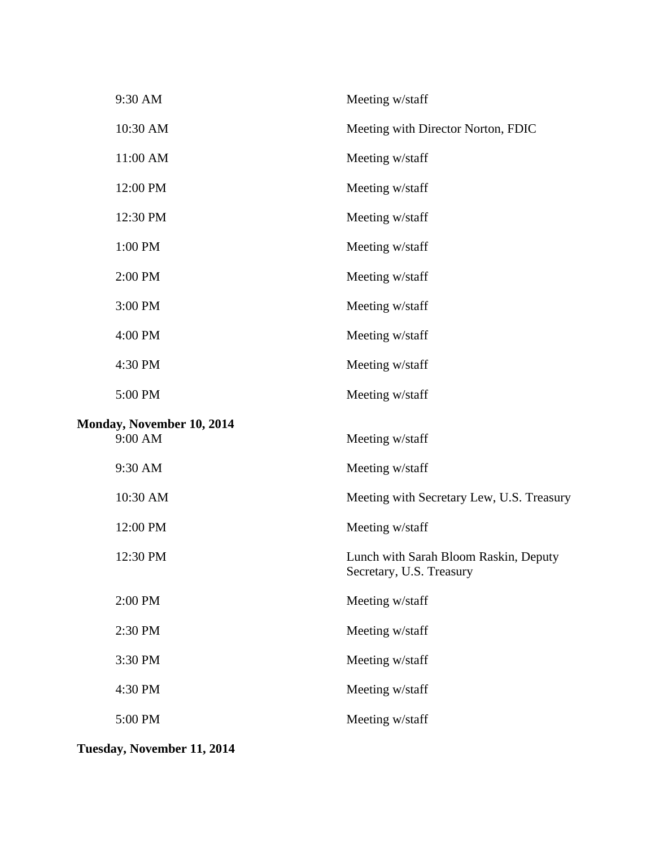| 9:30 AM                                     | Meeting w/staff                                                   |
|---------------------------------------------|-------------------------------------------------------------------|
| 10:30 AM                                    | Meeting with Director Norton, FDIC                                |
| 11:00 AM                                    | Meeting w/staff                                                   |
| 12:00 PM                                    | Meeting w/staff                                                   |
| 12:30 PM                                    | Meeting w/staff                                                   |
| 1:00 PM                                     | Meeting w/staff                                                   |
| 2:00 PM                                     | Meeting w/staff                                                   |
| 3:00 PM                                     | Meeting w/staff                                                   |
| 4:00 PM                                     | Meeting w/staff                                                   |
| 4:30 PM                                     | Meeting w/staff                                                   |
| 5:00 PM                                     | Meeting w/staff                                                   |
|                                             |                                                                   |
| <b>Monday, November 10, 2014</b><br>9:00 AM | Meeting w/staff                                                   |
| 9:30 AM                                     | Meeting w/staff                                                   |
| 10:30 AM                                    | Meeting with Secretary Lew, U.S. Treasury                         |
| 12:00 PM                                    | Meeting w/staff                                                   |
| 12:30 PM                                    | Lunch with Sarah Bloom Raskin, Deputy<br>Secretary, U.S. Treasury |
| 2:00 PM                                     | Meeting w/staff                                                   |
| 2:30 PM                                     | Meeting w/staff                                                   |
| 3:30 PM                                     | Meeting w/staff                                                   |
| 4:30 PM                                     | Meeting w/staff                                                   |
| 5:00 PM                                     | Meeting w/staff                                                   |

**Tuesday, November 11, 2014**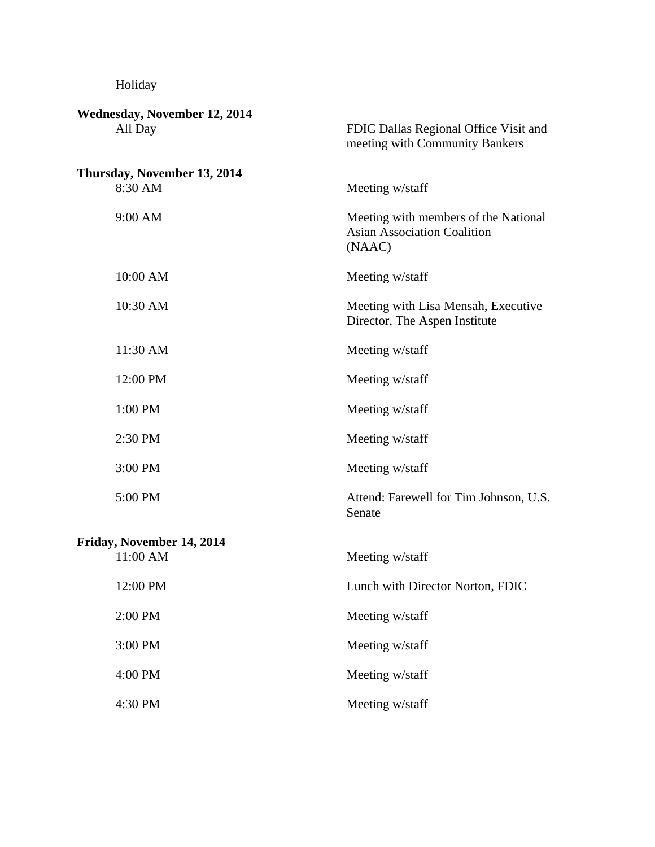## Holiday

| <b>Wednesday, November 12, 2014</b>    |                                                                                      |
|----------------------------------------|--------------------------------------------------------------------------------------|
| All Day                                | FDIC Dallas Regional Office Visit and<br>meeting with Community Bankers              |
| Thursday, November 13, 2014<br>8:30 AM | Meeting w/staff                                                                      |
| 9:00 AM                                | Meeting with members of the National<br><b>Asian Association Coalition</b><br>(NAAC) |
| 10:00 AM                               | Meeting w/staff                                                                      |
| 10:30 AM                               | Meeting with Lisa Mensah, Executive<br>Director, The Aspen Institute                 |
| 11:30 AM                               | Meeting w/staff                                                                      |
| 12:00 PM                               | Meeting w/staff                                                                      |
| 1:00 PM                                | Meeting w/staff                                                                      |
| 2:30 PM                                | Meeting w/staff                                                                      |
| 3:00 PM                                | Meeting w/staff                                                                      |
| 5:00 PM                                | Attend: Farewell for Tim Johnson, U.S.<br>Senate                                     |
| Friday, November 14, 2014              |                                                                                      |
| 11:00 AM                               | Meeting w/staff                                                                      |
| 12:00 PM                               | Lunch with Director Norton, FDIC                                                     |
| 2:00 PM                                | Meeting w/staff                                                                      |
| 3:00 PM                                | Meeting w/staff                                                                      |
| 4:00 PM                                | Meeting w/staff                                                                      |
| 4:30 PM                                | Meeting w/staff                                                                      |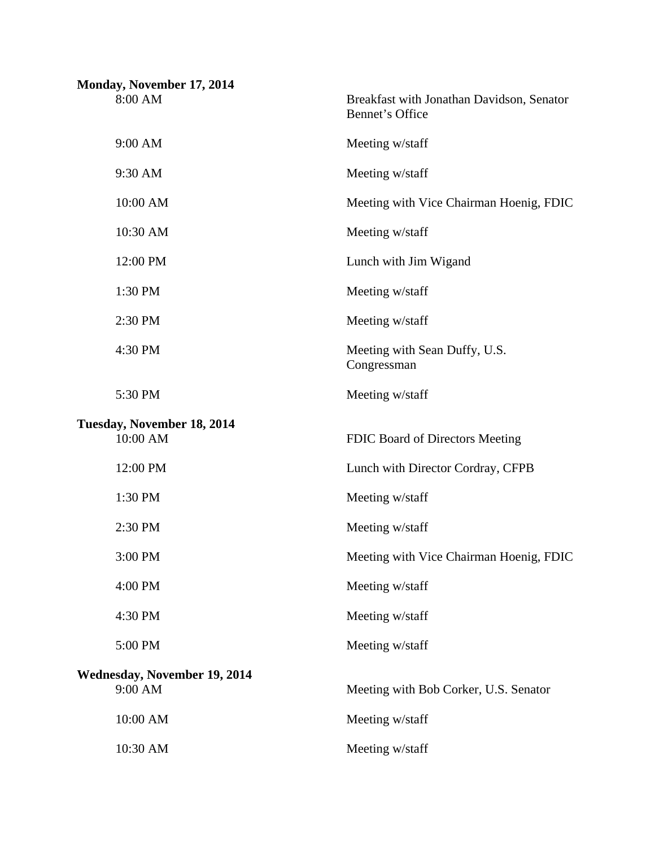| Monday, November 17, 2014<br>8:00 AM    | Breakfast with Jonathan Davidson, Senator<br>Bennet's Office |
|-----------------------------------------|--------------------------------------------------------------|
| 9:00 AM                                 | Meeting w/staff                                              |
| 9:30 AM                                 | Meeting w/staff                                              |
| 10:00 AM                                | Meeting with Vice Chairman Hoenig, FDIC                      |
| 10:30 AM                                | Meeting w/staff                                              |
| 12:00 PM                                | Lunch with Jim Wigand                                        |
| 1:30 PM                                 | Meeting w/staff                                              |
| 2:30 PM                                 | Meeting w/staff                                              |
| 4:30 PM                                 | Meeting with Sean Duffy, U.S.<br>Congressman                 |
| 5:30 PM                                 | Meeting w/staff                                              |
| Tuesday, November 18, 2014<br>10:00 AM  | FDIC Board of Directors Meeting                              |
| 12:00 PM                                | Lunch with Director Cordray, CFPB                            |
| 1:30 PM                                 | Meeting w/staff                                              |
| 2:30 PM                                 | Meeting w/staff                                              |
| 3:00 PM                                 | Meeting with Vice Chairman Hoenig, FDIC                      |
| 4:00 PM                                 | Meeting w/staff                                              |
| 4:30 PM                                 | Meeting w/staff                                              |
| 5:00 PM                                 | Meeting w/staff                                              |
| Wednesday, November 19, 2014<br>9:00 AM | Meeting with Bob Corker, U.S. Senator                        |
| 10:00 AM                                | Meeting w/staff                                              |
| 10:30 AM                                | Meeting w/staff                                              |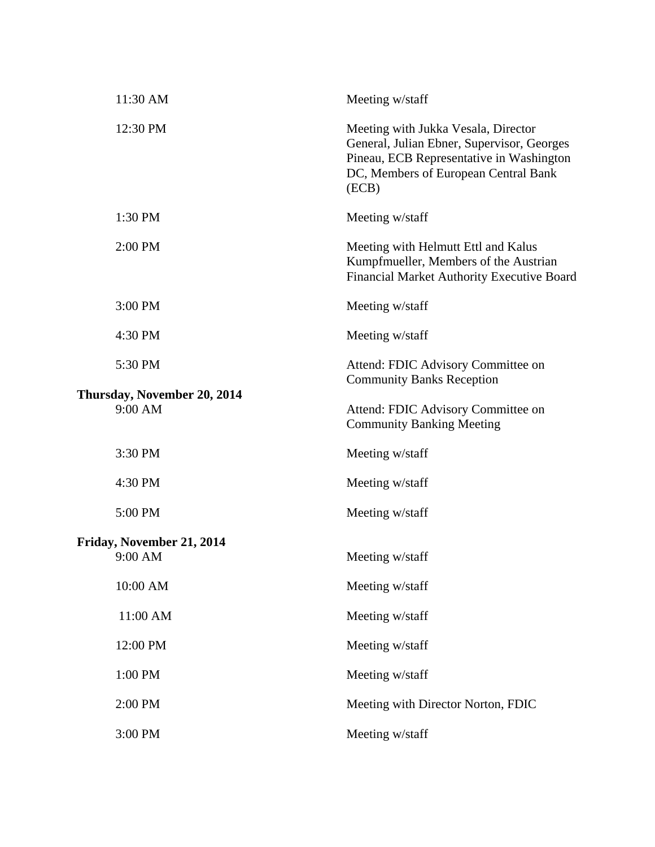| 11:30 AM                                 | Meeting w/staff                                                                                                                                                                |
|------------------------------------------|--------------------------------------------------------------------------------------------------------------------------------------------------------------------------------|
| 12:30 PM                                 | Meeting with Jukka Vesala, Director<br>General, Julian Ebner, Supervisor, Georges<br>Pineau, ECB Representative in Washington<br>DC, Members of European Central Bank<br>(ECB) |
| 1:30 PM                                  | Meeting w/staff                                                                                                                                                                |
| 2:00 PM                                  | Meeting with Helmutt Ettl and Kalus<br>Kumpfmueller, Members of the Austrian<br>Financial Market Authority Executive Board                                                     |
| 3:00 PM                                  | Meeting w/staff                                                                                                                                                                |
| 4:30 PM                                  | Meeting w/staff                                                                                                                                                                |
| 5:30 PM                                  | Attend: FDIC Advisory Committee on<br><b>Community Banks Reception</b>                                                                                                         |
| Thursday, November 20, 2014<br>$9:00$ AM | Attend: FDIC Advisory Committee on<br><b>Community Banking Meeting</b>                                                                                                         |
| 3:30 PM                                  | Meeting w/staff                                                                                                                                                                |
| 4:30 PM                                  | Meeting w/staff                                                                                                                                                                |
| 5:00 PM                                  | Meeting w/staff                                                                                                                                                                |
| Friday, November 21, 2014<br>9:00 AM     | Meeting w/staff                                                                                                                                                                |
| 10:00 AM                                 | Meeting w/staff                                                                                                                                                                |
| 11:00 AM                                 | Meeting w/staff                                                                                                                                                                |
| 12:00 PM                                 | Meeting w/staff                                                                                                                                                                |
| 1:00 PM                                  | Meeting w/staff                                                                                                                                                                |
| 2:00 PM                                  | Meeting with Director Norton, FDIC                                                                                                                                             |
| 3:00 PM                                  | Meeting w/staff                                                                                                                                                                |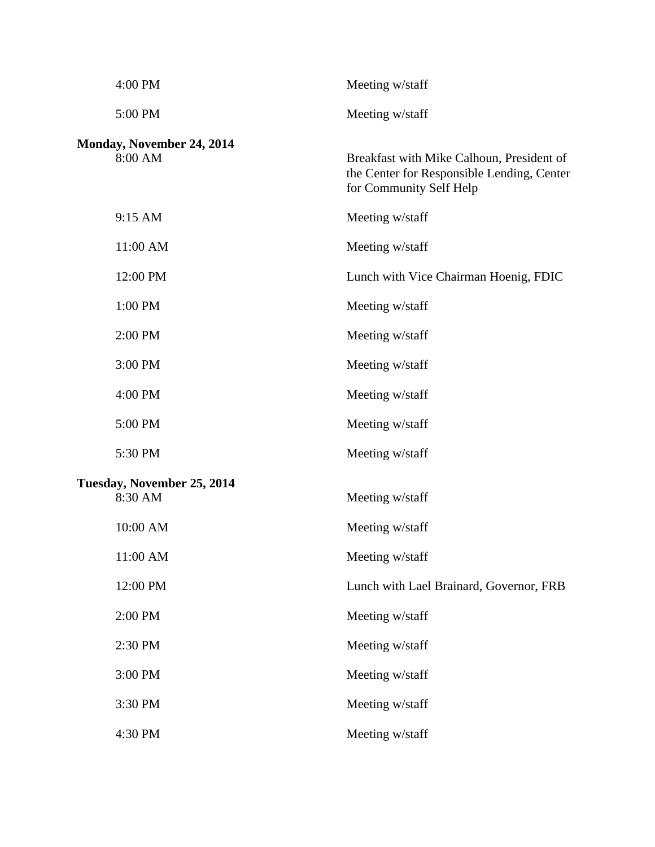| 4:00 PM                               | Meeting w/staff                                                                                                    |
|---------------------------------------|--------------------------------------------------------------------------------------------------------------------|
| 5:00 PM                               | Meeting w/staff                                                                                                    |
| Monday, November 24, 2014<br>8:00 AM  | Breakfast with Mike Calhoun, President of<br>the Center for Responsible Lending, Center<br>for Community Self Help |
| 9:15 AM                               | Meeting w/staff                                                                                                    |
| 11:00 AM                              | Meeting w/staff                                                                                                    |
| 12:00 PM                              | Lunch with Vice Chairman Hoenig, FDIC                                                                              |
| 1:00 PM                               | Meeting w/staff                                                                                                    |
| 2:00 PM                               | Meeting w/staff                                                                                                    |
| 3:00 PM                               | Meeting w/staff                                                                                                    |
| 4:00 PM                               | Meeting w/staff                                                                                                    |
| 5:00 PM                               | Meeting w/staff                                                                                                    |
| 5:30 PM                               | Meeting w/staff                                                                                                    |
| Tuesday, November 25, 2014<br>8:30 AM | Meeting w/staff                                                                                                    |
| 10:00 AM                              | Meeting w/staff                                                                                                    |
| 11:00 AM                              | Meeting w/staff                                                                                                    |
| 12:00 PM                              | Lunch with Lael Brainard, Governor, FRB                                                                            |
| 2:00 PM                               | Meeting w/staff                                                                                                    |
| 2:30 PM                               | Meeting w/staff                                                                                                    |
| 3:00 PM                               | Meeting w/staff                                                                                                    |
| 3:30 PM                               | Meeting w/staff                                                                                                    |
| 4:30 PM                               | Meeting w/staff                                                                                                    |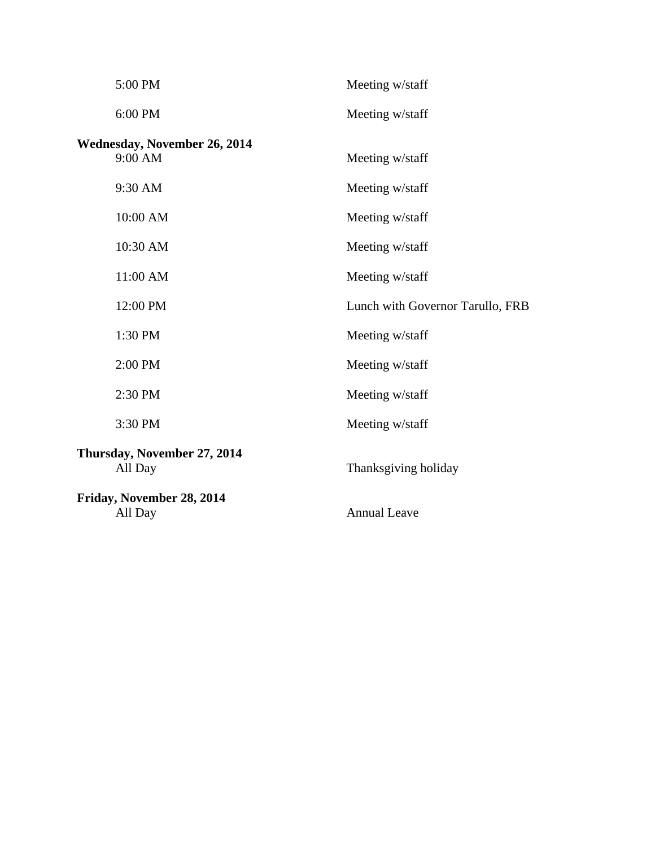| 5:00 PM                      | Meeting w/staff                  |
|------------------------------|----------------------------------|
| 6:00 PM                      | Meeting w/staff                  |
| Wednesday, November 26, 2014 |                                  |
| 9:00 AM                      | Meeting w/staff                  |
| 9:30 AM                      | Meeting w/staff                  |
| 10:00 AM                     | Meeting w/staff                  |
| 10:30 AM                     | Meeting w/staff                  |
| 11:00 AM                     | Meeting w/staff                  |
| 12:00 PM                     | Lunch with Governor Tarullo, FRB |
| 1:30 PM                      | Meeting w/staff                  |
| 2:00 PM                      | Meeting w/staff                  |
| 2:30 PM                      | Meeting w/staff                  |
| 3:30 PM                      | Meeting w/staff                  |
| Thursday, November 27, 2014  |                                  |
| All Day                      | Thanksgiving holiday             |
| Friday, November 28, 2014    |                                  |
| All Day                      | <b>Annual Leave</b>              |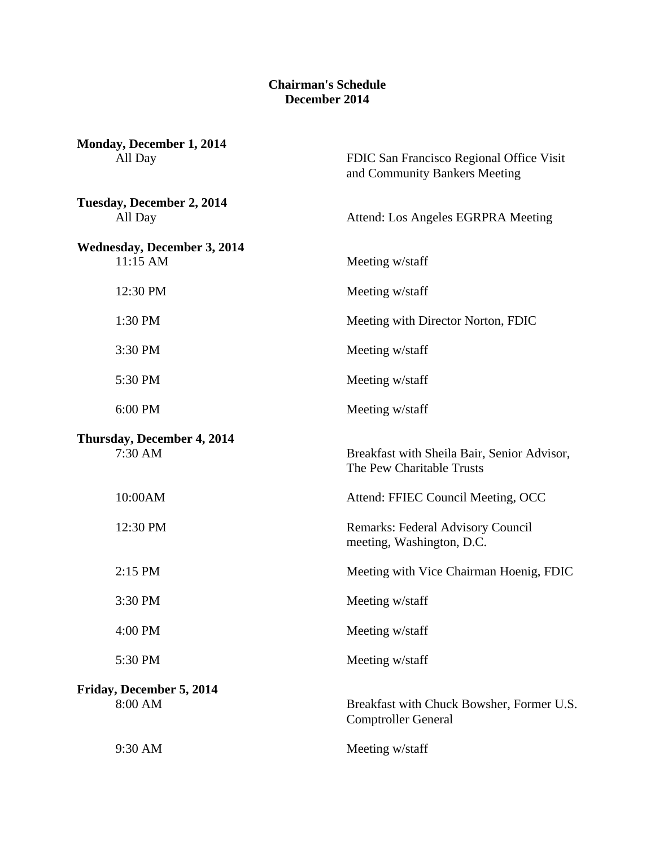#### **Chairman's Schedule December 2014**

| Monday, December 1, 2014<br>All Day              | FDIC San Francisco Regional Office Visit<br>and Community Bankers Meeting |
|--------------------------------------------------|---------------------------------------------------------------------------|
| Tuesday, December 2, 2014<br>All Day             | Attend: Los Angeles EGRPRA Meeting                                        |
| <b>Wednesday, December 3, 2014</b><br>$11:15$ AM | Meeting w/staff                                                           |
| 12:30 PM                                         | Meeting w/staff                                                           |
| 1:30 PM                                          | Meeting with Director Norton, FDIC                                        |
| 3:30 PM                                          | Meeting w/staff                                                           |
| 5:30 PM                                          | Meeting w/staff                                                           |
| 6:00 PM                                          | Meeting w/staff                                                           |
| Thursday, December 4, 2014<br>7:30 AM            | Breakfast with Sheila Bair, Senior Advisor,<br>The Pew Charitable Trusts  |
| 10:00AM                                          | Attend: FFIEC Council Meeting, OCC                                        |
| 12:30 PM                                         | Remarks: Federal Advisory Council<br>meeting, Washington, D.C.            |
| 2:15 PM                                          | Meeting with Vice Chairman Hoenig, FDIC                                   |
| 3:30 PM                                          | Meeting w/staff                                                           |
| 4:00 PM                                          | Meeting w/staff                                                           |
| 5:30 PM                                          | Meeting w/staff                                                           |
| Friday, December 5, 2014<br>8:00 AM              | Breakfast with Chuck Bowsher, Former U.S.<br><b>Comptroller General</b>   |
| 9:30 AM                                          | Meeting w/staff                                                           |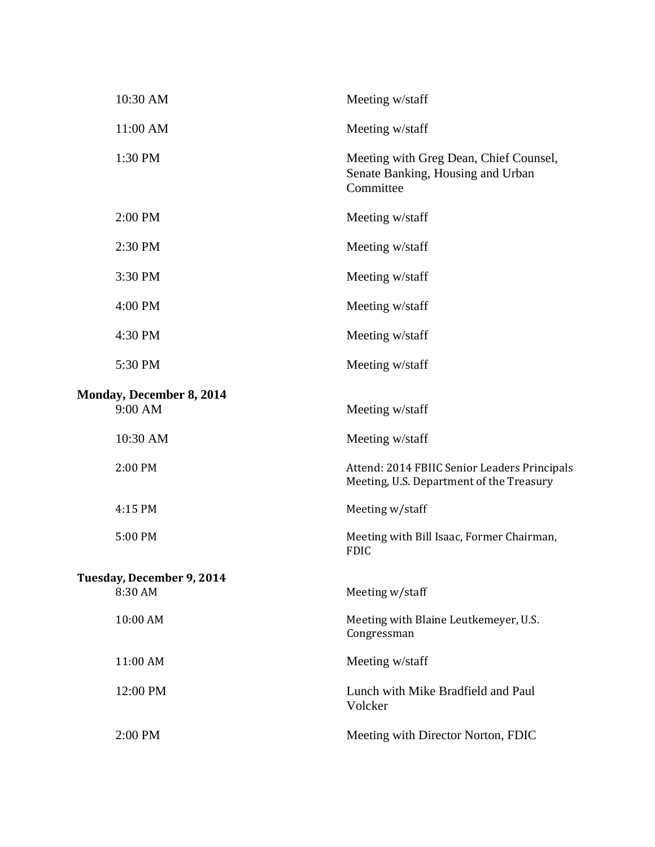| 10:30 AM                                   | Meeting w/staff                                                                          |
|--------------------------------------------|------------------------------------------------------------------------------------------|
| 11:00 AM                                   | Meeting w/staff                                                                          |
| 1:30 PM                                    | Meeting with Greg Dean, Chief Counsel,<br>Senate Banking, Housing and Urban<br>Committee |
| 2:00 PM                                    | Meeting w/staff                                                                          |
| 2:30 PM                                    | Meeting w/staff                                                                          |
| 3:30 PM                                    | Meeting w/staff                                                                          |
| 4:00 PM                                    | Meeting w/staff                                                                          |
| 4:30 PM                                    | Meeting w/staff                                                                          |
| 5:30 PM                                    | Meeting w/staff                                                                          |
| <b>Monday, December 8, 2014</b><br>9:00 AM | Meeting w/staff                                                                          |
| 10:30 AM                                   | Meeting w/staff                                                                          |
| 2:00 PM                                    | Attend: 2014 FBIIC Senior Leaders Principals<br>Meeting, U.S. Department of the Treasury |
| 4:15 PM                                    | Meeting w/staff                                                                          |
| 5:00 PM                                    | Meeting with Bill Isaac, Former Chairman,<br><b>FDIC</b>                                 |
| Tuesday, December 9, 2014<br>8:30 AM       | Meeting w/staff                                                                          |
| 10:00 AM                                   | Meeting with Blaine Leutkemeyer, U.S.<br>Congressman                                     |
| 11:00 AM                                   | Meeting w/staff                                                                          |
| 12:00 PM                                   | Lunch with Mike Bradfield and Paul<br>Volcker                                            |
| 2:00 PM                                    | Meeting with Director Norton, FDIC                                                       |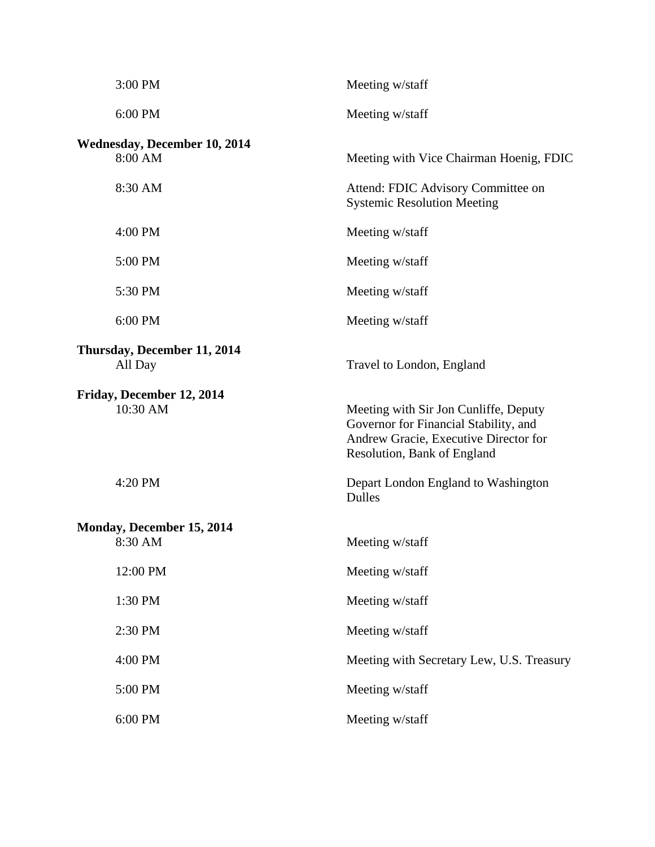| 3:00 PM                                        | Meeting w/staff                                                                                                                                        |
|------------------------------------------------|--------------------------------------------------------------------------------------------------------------------------------------------------------|
| 6:00 PM                                        | Meeting w/staff                                                                                                                                        |
| <b>Wednesday, December 10, 2014</b><br>8:00 AM | Meeting with Vice Chairman Hoenig, FDIC                                                                                                                |
| 8:30 AM                                        | Attend: FDIC Advisory Committee on<br><b>Systemic Resolution Meeting</b>                                                                               |
| 4:00 PM                                        | Meeting w/staff                                                                                                                                        |
| 5:00 PM                                        | Meeting w/staff                                                                                                                                        |
| 5:30 PM                                        | Meeting w/staff                                                                                                                                        |
| 6:00 PM                                        | Meeting w/staff                                                                                                                                        |
| Thursday, December 11, 2014<br>All Day         | Travel to London, England                                                                                                                              |
| Friday, December 12, 2014<br>10:30 AM          | Meeting with Sir Jon Cunliffe, Deputy<br>Governor for Financial Stability, and<br>Andrew Gracie, Executive Director for<br>Resolution, Bank of England |
| 4:20 PM                                        | Depart London England to Washington<br><b>Dulles</b>                                                                                                   |
| Monday, December 15, 2014<br>8:30 AM           | Meeting w/staff                                                                                                                                        |
| 12:00 PM                                       | Meeting w/staff                                                                                                                                        |
| 1:30 PM                                        | Meeting w/staff                                                                                                                                        |
| 2:30 PM                                        | Meeting w/staff                                                                                                                                        |
| 4:00 PM                                        | Meeting with Secretary Lew, U.S. Treasury                                                                                                              |
| 5:00 PM                                        | Meeting w/staff                                                                                                                                        |
| 6:00 PM                                        | Meeting w/staff                                                                                                                                        |
|                                                |                                                                                                                                                        |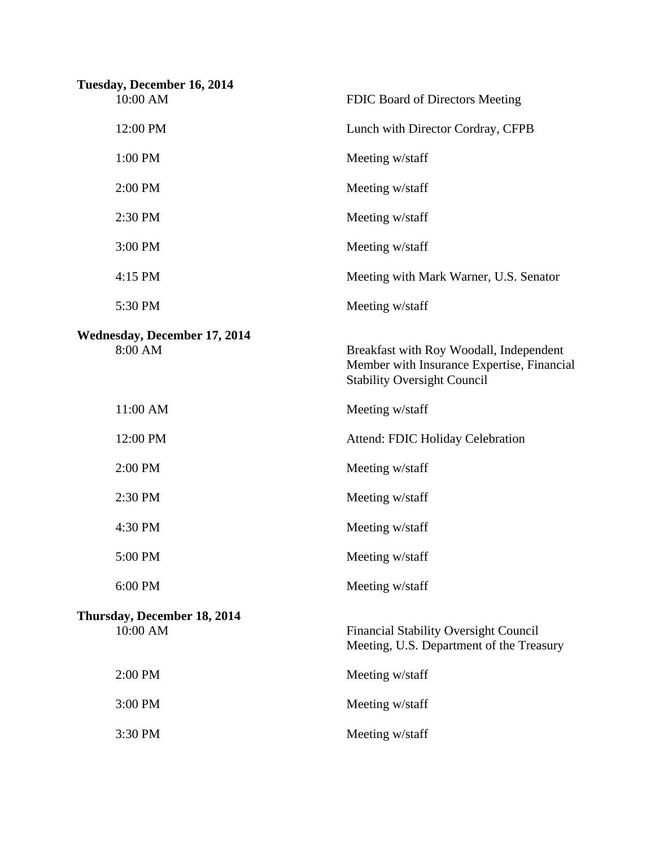| Tuesday, December 16, 2014<br>10:00 AM         | FDIC Board of Directors Meeting                                                                                             |
|------------------------------------------------|-----------------------------------------------------------------------------------------------------------------------------|
| 12:00 PM                                       | Lunch with Director Cordray, CFPB                                                                                           |
| 1:00 PM                                        | Meeting w/staff                                                                                                             |
| 2:00 PM                                        | Meeting w/staff                                                                                                             |
| 2:30 PM                                        | Meeting w/staff                                                                                                             |
| 3:00 PM                                        | Meeting w/staff                                                                                                             |
| 4:15 PM                                        | Meeting with Mark Warner, U.S. Senator                                                                                      |
| 5:30 PM                                        | Meeting w/staff                                                                                                             |
| <b>Wednesday, December 17, 2014</b><br>8:00 AM | Breakfast with Roy Woodall, Independent<br>Member with Insurance Expertise, Financial<br><b>Stability Oversight Council</b> |
| 11:00 AM                                       | Meeting w/staff                                                                                                             |
| 12:00 PM                                       | Attend: FDIC Holiday Celebration                                                                                            |
| 2:00 PM                                        | Meeting w/staff                                                                                                             |
| 2:30 PM                                        | Meeting w/staff                                                                                                             |
| 4:30 PM                                        | Meeting w/staff                                                                                                             |
| 5:00 PM                                        | Meeting w/staff                                                                                                             |
| 6:00 PM                                        | Meeting w/staff                                                                                                             |
| Thursday, December 18, 2014<br>10:00 AM        | <b>Financial Stability Oversight Council</b><br>Meeting, U.S. Department of the Treasury                                    |
| 2:00 PM                                        | Meeting w/staff                                                                                                             |
| 3:00 PM                                        | Meeting w/staff                                                                                                             |
| 3:30 PM                                        | Meeting w/staff                                                                                                             |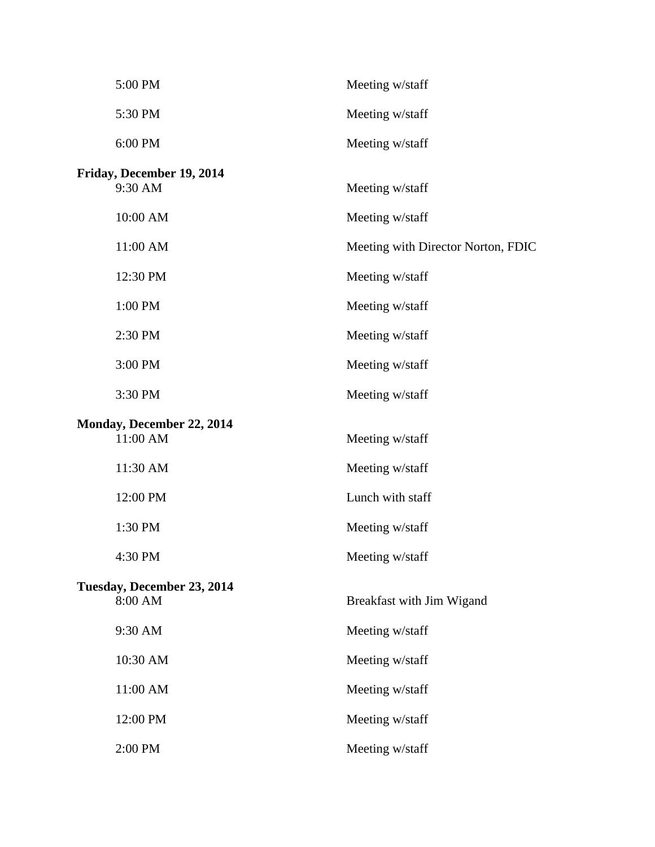| 5:00 PM                               | Meeting w/staff                    |
|---------------------------------------|------------------------------------|
| 5:30 PM                               | Meeting w/staff                    |
| 6:00 PM                               | Meeting w/staff                    |
| Friday, December 19, 2014             |                                    |
| 9:30 AM                               | Meeting w/staff                    |
| 10:00 AM                              | Meeting w/staff                    |
| 11:00 AM                              | Meeting with Director Norton, FDIC |
| 12:30 PM                              | Meeting w/staff                    |
| 1:00 PM                               | Meeting w/staff                    |
| 2:30 PM                               | Meeting w/staff                    |
| 3:00 PM                               | Meeting w/staff                    |
| 3:30 PM                               | Meeting w/staff                    |
| Monday, December 22, 2014             |                                    |
| 11:00 AM                              |                                    |
|                                       | Meeting w/staff                    |
| 11:30 AM                              | Meeting w/staff                    |
| 12:00 PM                              | Lunch with staff                   |
| 1:30 PM                               | Meeting w/staff                    |
| 4:30 PM                               | Meeting w/staff                    |
|                                       |                                    |
| Tuesday, December 23, 2014<br>8:00 AM | Breakfast with Jim Wigand          |
| 9:30 AM                               | Meeting w/staff                    |
| 10:30 AM                              | Meeting w/staff                    |
| 11:00 AM                              | Meeting w/staff                    |
| 12:00 PM                              | Meeting w/staff                    |